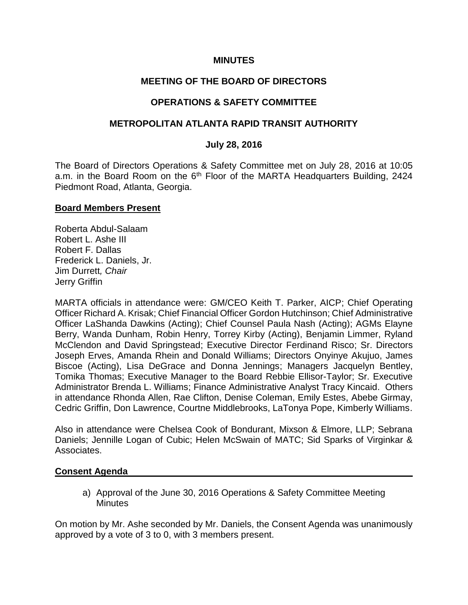### **MINUTES**

## **MEETING OF THE BOARD OF DIRECTORS**

## **OPERATIONS & SAFETY COMMITTEE**

### **METROPOLITAN ATLANTA RAPID TRANSIT AUTHORITY**

#### **July 28, 2016**

The Board of Directors Operations & Safety Committee met on July 28, 2016 at 10:05 a.m. in the Board Room on the 6<sup>th</sup> Floor of the MARTA Headquarters Building, 2424 Piedmont Road, Atlanta, Georgia.

#### **Board Members Present**

Roberta Abdul-Salaam Robert L. Ashe III Robert F. Dallas Frederick L. Daniels, Jr. Jim Durrett*, Chair* Jerry Griffin

MARTA officials in attendance were: GM/CEO Keith T. Parker, AICP; Chief Operating Officer Richard A. Krisak; Chief Financial Officer Gordon Hutchinson; Chief Administrative Officer LaShanda Dawkins (Acting); Chief Counsel Paula Nash (Acting); AGMs Elayne Berry, Wanda Dunham, Robin Henry, Torrey Kirby (Acting), Benjamin Limmer, Ryland McClendon and David Springstead; Executive Director Ferdinand Risco; Sr. Directors Joseph Erves, Amanda Rhein and Donald Williams; Directors Onyinye Akujuo, James Biscoe (Acting), Lisa DeGrace and Donna Jennings; Managers Jacquelyn Bentley, Tomika Thomas; Executive Manager to the Board Rebbie Ellisor-Taylor; Sr. Executive Administrator Brenda L. Williams; Finance Administrative Analyst Tracy Kincaid. Others in attendance Rhonda Allen, Rae Clifton, Denise Coleman, Emily Estes, Abebe Girmay, Cedric Griffin, Don Lawrence, Courtne Middlebrooks, LaTonya Pope, Kimberly Williams.

Also in attendance were Chelsea Cook of Bondurant, Mixson & Elmore, LLP; Sebrana Daniels; Jennille Logan of Cubic; Helen McSwain of MATC; Sid Sparks of Virginkar & Associates.

#### **Consent Agenda**

a) Approval of the June 30, 2016 Operations & Safety Committee Meeting **Minutes** 

On motion by Mr. Ashe seconded by Mr. Daniels, the Consent Agenda was unanimously approved by a vote of 3 to 0, with 3 members present.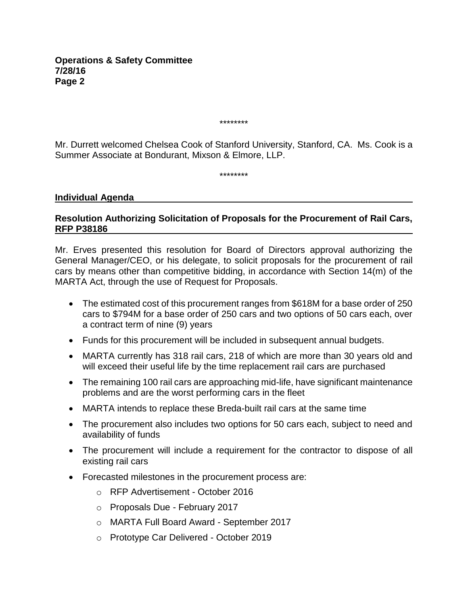\*\*\*\*\*\*\*\*

Mr. Durrett welcomed Chelsea Cook of Stanford University, Stanford, CA. Ms. Cook is a Summer Associate at Bondurant, Mixson & Elmore, LLP.

\*\*\*\*\*\*\*\*

#### **Individual Agenda**

### **Resolution Authorizing Solicitation of Proposals for the Procurement of Rail Cars, RFP P38186**

Mr. Erves presented this resolution for Board of Directors approval authorizing the General Manager/CEO, or his delegate, to solicit proposals for the procurement of rail cars by means other than competitive bidding, in accordance with Section 14(m) of the MARTA Act, through the use of Request for Proposals.

- The estimated cost of this procurement ranges from \$618M for a base order of 250 cars to \$794M for a base order of 250 cars and two options of 50 cars each, over a contract term of nine (9) years
- Funds for this procurement will be included in subsequent annual budgets.
- MARTA currently has 318 rail cars, 218 of which are more than 30 years old and will exceed their useful life by the time replacement rail cars are purchased
- The remaining 100 rail cars are approaching mid-life, have significant maintenance problems and are the worst performing cars in the fleet
- MARTA intends to replace these Breda-built rail cars at the same time
- The procurement also includes two options for 50 cars each, subject to need and availability of funds
- The procurement will include a requirement for the contractor to dispose of all existing rail cars
- Forecasted milestones in the procurement process are:
	- o RFP Advertisement October 2016
	- o Proposals Due February 2017
	- o MARTA Full Board Award September 2017
	- o Prototype Car Delivered October 2019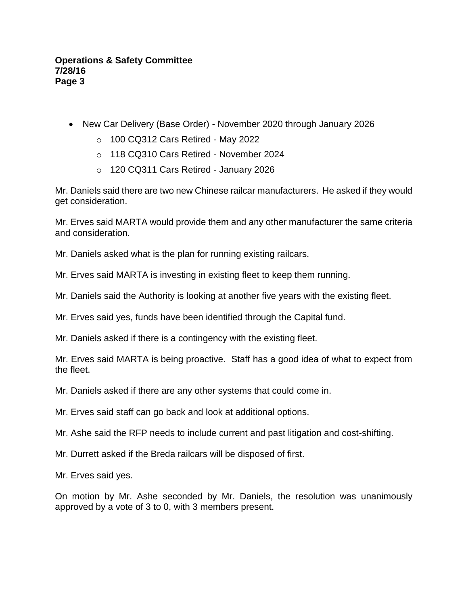- New Car Delivery (Base Order) November 2020 through January 2026
	- $\circ$  100 CQ312 Cars Retired May 2022
	- o 118 CQ310 Cars Retired November 2024
	- o 120 CQ311 Cars Retired January 2026

Mr. Daniels said there are two new Chinese railcar manufacturers. He asked if they would get consideration.

Mr. Erves said MARTA would provide them and any other manufacturer the same criteria and consideration.

Mr. Daniels asked what is the plan for running existing railcars.

Mr. Erves said MARTA is investing in existing fleet to keep them running.

Mr. Daniels said the Authority is looking at another five years with the existing fleet.

Mr. Erves said yes, funds have been identified through the Capital fund.

Mr. Daniels asked if there is a contingency with the existing fleet.

Mr. Erves said MARTA is being proactive. Staff has a good idea of what to expect from the fleet.

Mr. Daniels asked if there are any other systems that could come in.

Mr. Erves said staff can go back and look at additional options.

Mr. Ashe said the RFP needs to include current and past litigation and cost-shifting.

Mr. Durrett asked if the Breda railcars will be disposed of first.

Mr. Erves said yes.

On motion by Mr. Ashe seconded by Mr. Daniels, the resolution was unanimously approved by a vote of 3 to 0, with 3 members present.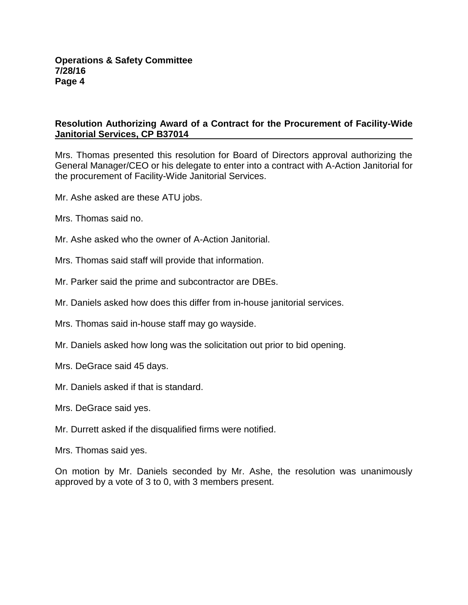## **Resolution Authorizing Award of a Contract for the Procurement of Facility-Wide Janitorial Services, CP B37014**

Mrs. Thomas presented this resolution for Board of Directors approval authorizing the General Manager/CEO or his delegate to enter into a contract with A-Action Janitorial for the procurement of Facility-Wide Janitorial Services.

Mr. Ashe asked are these ATU jobs.

Mrs. Thomas said no.

Mr. Ashe asked who the owner of A-Action Janitorial.

Mrs. Thomas said staff will provide that information.

Mr. Parker said the prime and subcontractor are DBEs.

Mr. Daniels asked how does this differ from in-house janitorial services.

Mrs. Thomas said in-house staff may go wayside.

Mr. Daniels asked how long was the solicitation out prior to bid opening.

Mrs. DeGrace said 45 days.

Mr. Daniels asked if that is standard.

Mrs. DeGrace said yes.

Mr. Durrett asked if the disqualified firms were notified.

Mrs. Thomas said yes.

On motion by Mr. Daniels seconded by Mr. Ashe, the resolution was unanimously approved by a vote of 3 to 0, with 3 members present.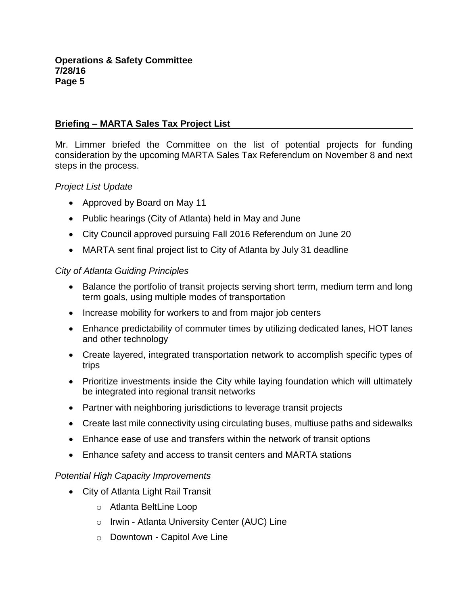# **Briefing – MARTA Sales Tax Project List**

Mr. Limmer briefed the Committee on the list of potential projects for funding consideration by the upcoming MARTA Sales Tax Referendum on November 8 and next steps in the process.

## *Project List Update*

- Approved by Board on May 11
- Public hearings (City of Atlanta) held in May and June
- City Council approved pursuing Fall 2016 Referendum on June 20
- MARTA sent final project list to City of Atlanta by July 31 deadline

#### *City of Atlanta Guiding Principles*

- Balance the portfolio of transit projects serving short term, medium term and long term goals, using multiple modes of transportation
- Increase mobility for workers to and from major job centers
- Enhance predictability of commuter times by utilizing dedicated lanes, HOT lanes and other technology
- Create layered, integrated transportation network to accomplish specific types of trips
- Prioritize investments inside the City while laying foundation which will ultimately be integrated into regional transit networks
- Partner with neighboring jurisdictions to leverage transit projects
- Create last mile connectivity using circulating buses, multiuse paths and sidewalks
- Enhance ease of use and transfers within the network of transit options
- Enhance safety and access to transit centers and MARTA stations

## *Potential High Capacity Improvements*

- City of Atlanta Light Rail Transit
	- o Atlanta BeltLine Loop
	- o Irwin Atlanta University Center (AUC) Line
	- o Downtown Capitol Ave Line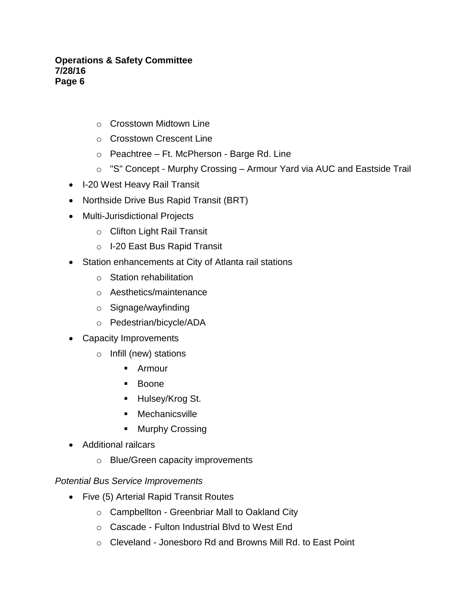- o Crosstown Midtown Line
- o Crosstown Crescent Line
- o Peachtree Ft. McPherson Barge Rd. Line
- o "S" Concept Murphy Crossing Armour Yard via AUC and Eastside Trail
- I-20 West Heavy Rail Transit
- Northside Drive Bus Rapid Transit (BRT)
- Multi-Jurisdictional Projects
	- o Clifton Light Rail Transit
	- o I-20 East Bus Rapid Transit
- Station enhancements at City of Atlanta rail stations
	- o Station rehabilitation
	- o Aesthetics/maintenance
	- o Signage/wayfinding
	- o Pedestrian/bicycle/ADA
- Capacity Improvements
	- o Infill (new) stations
		- **Armour**
		- **Boone**
		- **Hulsey/Krog St.**
		- Mechanicsville
		- **Murphy Crossing**
- Additional railcars
	- o Blue/Green capacity improvements

## *Potential Bus Service Improvements*

- Five (5) Arterial Rapid Transit Routes
	- o Campbellton Greenbriar Mall to Oakland City
	- o Cascade Fulton Industrial Blvd to West End
	- o Cleveland Jonesboro Rd and Browns Mill Rd. to East Point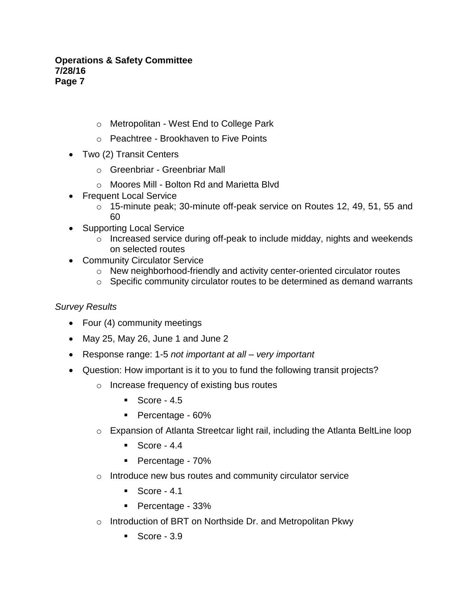- o Metropolitan West End to College Park
- o Peachtree Brookhaven to Five Points
- Two (2) Transit Centers
	- o Greenbriar Greenbriar Mall
	- o Moores Mill Bolton Rd and Marietta Blvd
- Frequent Local Service
	- o 15-minute peak; 30-minute off-peak service on Routes 12, 49, 51, 55 and 60
- Supporting Local Service
	- o Increased service during off-peak to include midday, nights and weekends on selected routes
- Community Circulator Service
	- $\circ$  New neighborhood-friendly and activity center-oriented circulator routes
	- o Specific community circulator routes to be determined as demand warrants

## *Survey Results*

- Four (4) community meetings
- May 25, May 26, June 1 and June 2
- Response range: 1-5 *not important at all – very important*
- Question: How important is it to you to fund the following transit projects?
	- o Increase frequency of existing bus routes
		- $\sim$  Score 4.5
		- Percentage 60%
	- o Expansion of Atlanta Streetcar light rail, including the Atlanta BeltLine loop
		- $\blacksquare$  Score 4.4
		- Percentage 70%
	- o Introduce new bus routes and community circulator service
		- $\sim$  Score 4.1
		- Percentage 33%
	- o Introduction of BRT on Northside Dr. and Metropolitan Pkwy
		- $\blacksquare$  Score 3.9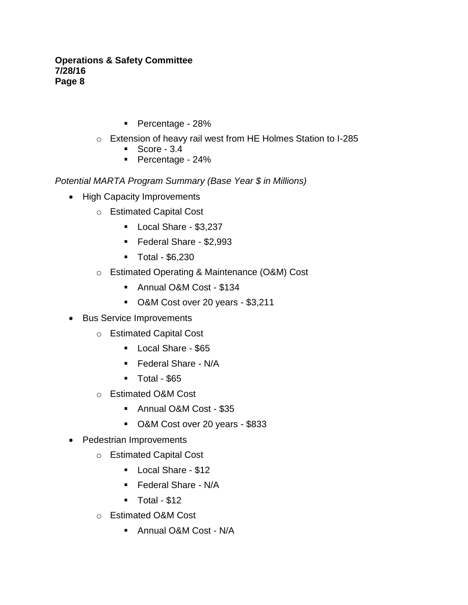- Percentage 28%
- o Extension of heavy rail west from HE Holmes Station to I-285
	- $\blacksquare$  Score 3.4
	- Percentage 24%

# *Potential MARTA Program Summary (Base Year \$ in Millions)*

- High Capacity Improvements
	- o Estimated Capital Cost
		- Local Share \$3,237
		- Federal Share \$2,993
		- Total \$6,230
	- o Estimated Operating & Maintenance (O&M) Cost
		- Annual O&M Cost \$134
		- O&M Cost over 20 years \$3,211
- Bus Service Improvements
	- o Estimated Capital Cost
		- **Local Share \$65**
		- Federal Share N/A
		- $\blacksquare$  Total \$65
	- o Estimated O&M Cost
		- Annual O&M Cost \$35
		- O&M Cost over 20 years \$833
- Pedestrian Improvements
	- o Estimated Capital Cost
		- **Local Share \$12**
		- **Federal Share N/A**
		- $\blacksquare$  Total \$12
	- o Estimated O&M Cost
		- Annual O&M Cost N/A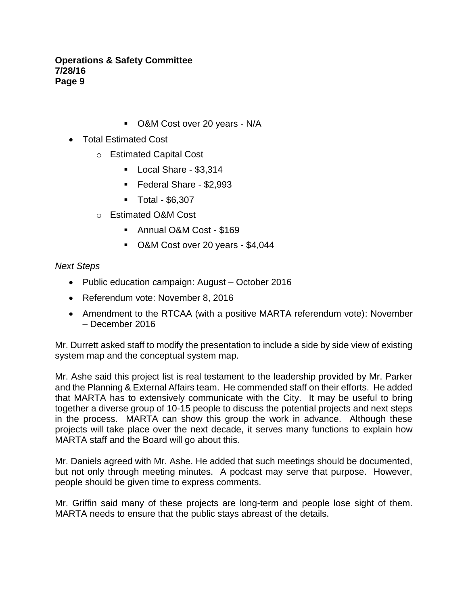- O&M Cost over 20 years N/A
- Total Estimated Cost
	- o Estimated Capital Cost
		- Local Share \$3,314
		- Federal Share \$2,993
		- Total \$6,307
	- o Estimated O&M Cost
		- Annual O&M Cost \$169
		- O&M Cost over 20 years \$4,044

## *Next Steps*

- Public education campaign: August October 2016
- Referendum vote: November 8, 2016
- Amendment to the RTCAA (with a positive MARTA referendum vote): November – December 2016

Mr. Durrett asked staff to modify the presentation to include a side by side view of existing system map and the conceptual system map.

Mr. Ashe said this project list is real testament to the leadership provided by Mr. Parker and the Planning & External Affairs team. He commended staff on their efforts. He added that MARTA has to extensively communicate with the City. It may be useful to bring together a diverse group of 10-15 people to discuss the potential projects and next steps in the process. MARTA can show this group the work in advance. Although these projects will take place over the next decade, it serves many functions to explain how MARTA staff and the Board will go about this.

Mr. Daniels agreed with Mr. Ashe. He added that such meetings should be documented, but not only through meeting minutes. A podcast may serve that purpose. However, people should be given time to express comments.

Mr. Griffin said many of these projects are long-term and people lose sight of them. MARTA needs to ensure that the public stays abreast of the details.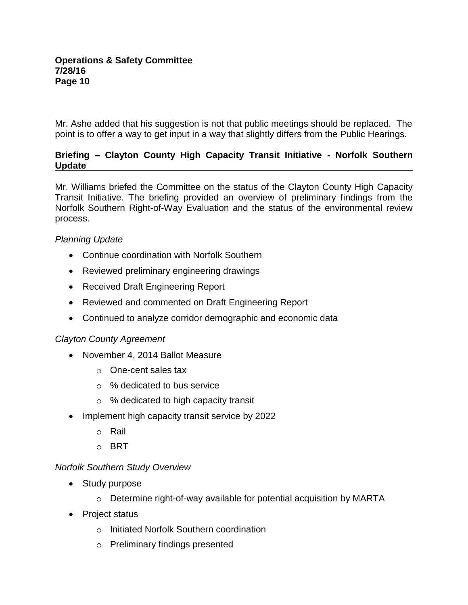Mr. Ashe added that his suggestion is not that public meetings should be replaced. The point is to offer a way to get input in a way that slightly differs from the Public Hearings.

# **Briefing – Clayton County High Capacity Transit Initiative - Norfolk Southern Update**

Mr. Williams briefed the Committee on the status of the Clayton County High Capacity Transit Initiative. The briefing provided an overview of preliminary findings from the Norfolk Southern Right-of-Way Evaluation and the status of the environmental review process.

# *Planning Update*

- Continue coordination with Norfolk Southern
- Reviewed preliminary engineering drawings
- Received Draft Engineering Report
- Reviewed and commented on Draft Engineering Report
- Continued to analyze corridor demographic and economic data

## *Clayton County Agreement*

- November 4, 2014 Ballot Measure
	- o One-cent sales tax
	- o % dedicated to bus service
	- o % dedicated to high capacity transit
- Implement high capacity transit service by 2022
	- o Rail
	- o BRT

## *Norfolk Southern Study Overview*

- Study purpose
	- $\circ$  Determine right-of-way available for potential acquisition by MARTA
- Project status
	- o Initiated Norfolk Southern coordination
	- o Preliminary findings presented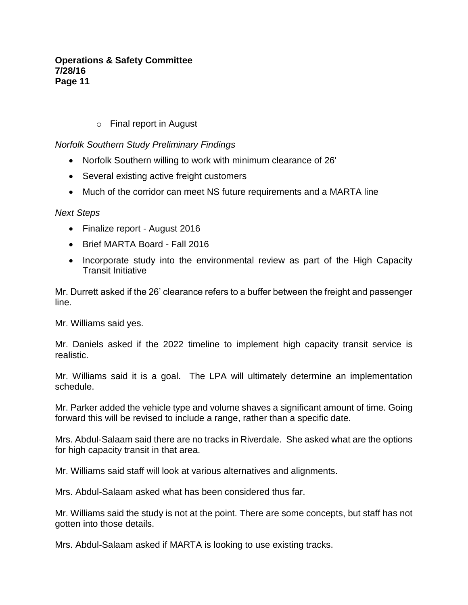# o Final report in August

*Norfolk Southern Study Preliminary Findings*

- Norfolk Southern willing to work with minimum clearance of 26'
- Several existing active freight customers
- Much of the corridor can meet NS future requirements and a MARTA line

*Next Steps*

- Finalize report August 2016
- Brief MARTA Board Fall 2016
- Incorporate study into the environmental review as part of the High Capacity Transit Initiative

Mr. Durrett asked if the 26' clearance refers to a buffer between the freight and passenger line.

Mr. Williams said yes.

Mr. Daniels asked if the 2022 timeline to implement high capacity transit service is realistic.

Mr. Williams said it is a goal. The LPA will ultimately determine an implementation schedule.

Mr. Parker added the vehicle type and volume shaves a significant amount of time. Going forward this will be revised to include a range, rather than a specific date.

Mrs. Abdul-Salaam said there are no tracks in Riverdale. She asked what are the options for high capacity transit in that area.

Mr. Williams said staff will look at various alternatives and alignments.

Mrs. Abdul-Salaam asked what has been considered thus far.

Mr. Williams said the study is not at the point. There are some concepts, but staff has not gotten into those details.

Mrs. Abdul-Salaam asked if MARTA is looking to use existing tracks.